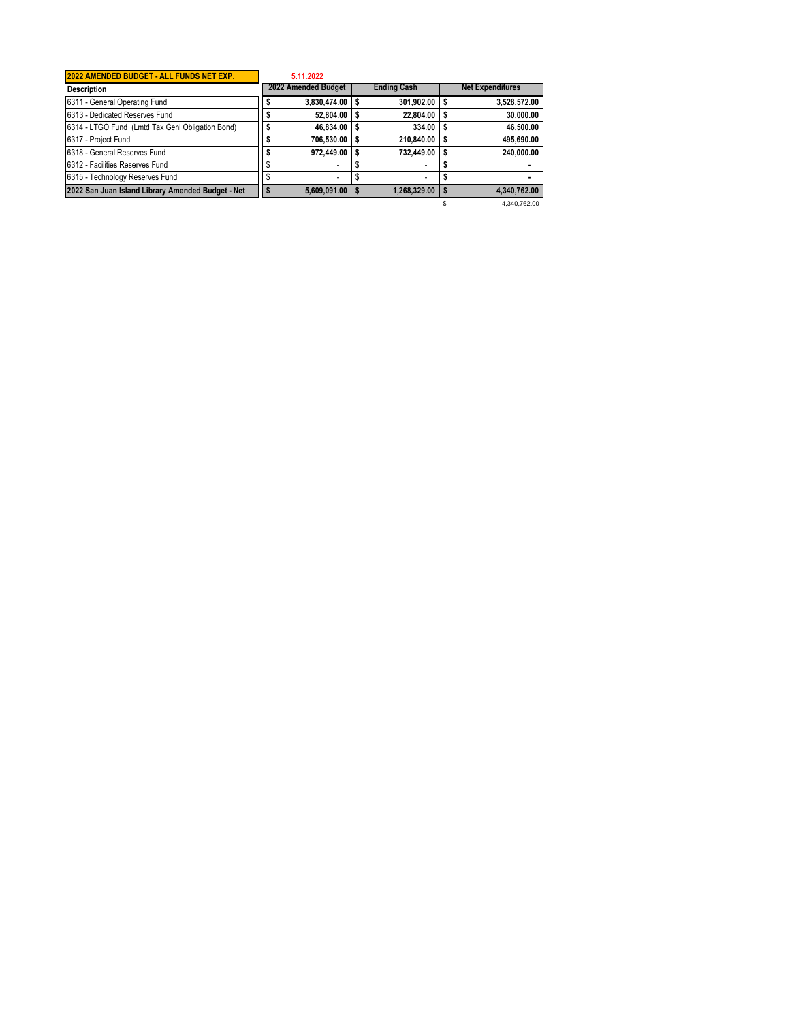| 2022 AMENDED BUDGET - ALL FUNDS NET EXP.          | 5.11.2022           |                          |   |                         |
|---------------------------------------------------|---------------------|--------------------------|---|-------------------------|
| <b>Description</b>                                | 2022 Amended Budget | <b>Ending Cash</b>       |   | <b>Net Expenditures</b> |
| 6311 - General Operating Fund                     | 3,830,474.00        | 301,902.00               |   | 3,528,572.00            |
| 6313 - Dedicated Reserves Fund                    | 52.804.00           | 22.804.00                | s | 30,000.00               |
| 6314 - LTGO Fund (Lmtd Tax Genl Obligation Bond)  | 46,834.00           | 334.00                   |   | 46,500.00               |
| 6317 - Project Fund                               | 706.530.00          | 210.840.00               |   | 495,690.00              |
| 6318 - General Reserves Fund                      | 972,449.00          | 732.449.00               |   | 240.000.00              |
| 6312 - Facilities Reserves Fund                   |                     |                          |   |                         |
| 6315 - Technology Reserves Fund                   | ٠                   | $\overline{\phantom{a}}$ |   |                         |
| 2022 San Juan Island Library Amended Budget - Net | 5,609,091.00        | 1,268,329.00             |   | 4.340.762.00            |
|                                                   |                     |                          |   | 4.340.762.00            |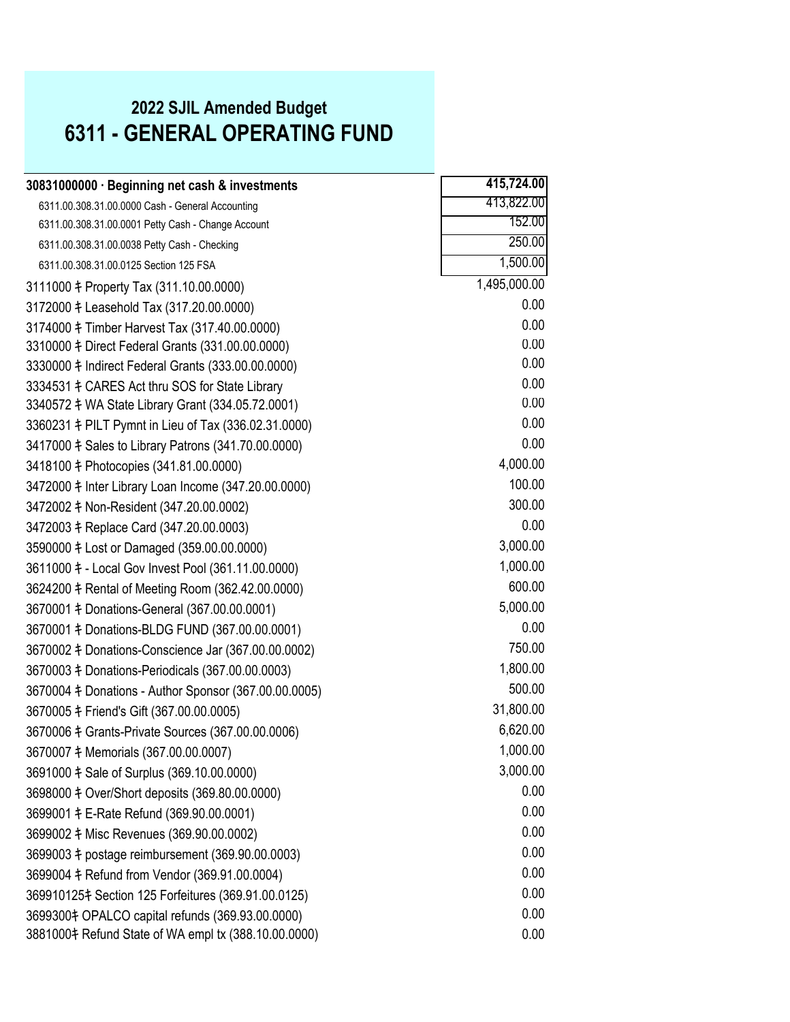#### **2022 SJIL Amended Budget 6311 - GENERAL OPERATING FUND**

| 30831000000 · Beginning net cash & investments               | 415,724.00   |
|--------------------------------------------------------------|--------------|
| 6311.00.308.31.00.0000 Cash - General Accounting             | 413,822.00   |
| 6311.00.308.31.00.0001 Petty Cash - Change Account           | 152.00       |
| 6311.00.308.31.00.0038 Petty Cash - Checking                 | 250.00       |
| 6311.00.308.31.00.0125 Section 125 FSA                       | 1,500.00     |
| 3111000 ‡ Property Tax (311.10.00.0000)                      | 1,495,000.00 |
| 3172000 ‡ Leasehold Tax (317.20.00.0000)                     | 0.00         |
| 3174000 ‡ Timber Harvest Tax (317.40.00.0000)                | 0.00         |
| 3310000 \# Direct Federal Grants (331.00.00.0000)            | 0.00         |
| 3330000 # Indirect Federal Grants (333.00.00.0000)           | 0.00         |
| 3334531 $\ddagger$ CARES Act thru SOS for State Library      | 0.00         |
| 3340572 # WA State Library Grant (334.05.72.0001)            | 0.00         |
| 3360231 \# PILT Pymnt in Lieu of Tax (336.02.31.0000)        | 0.00         |
| 3417000 $\ddagger$ Sales to Library Patrons (341.70.00.0000) | 0.00         |
| 3418100 ‡ Photocopies (341.81.00.0000)                       | 4,000.00     |
| 3472000 \t Inter Library Loan Income (347.20.00.0000)        | 100.00       |
| 3472002 ‡ Non-Resident (347.20.00.0002)                      | 300.00       |
| 3472003 ‡ Replace Card (347.20.00.0003)                      | 0.00         |
| 3590000 \# Lost or Damaged (359.00.00.0000)                  | 3,000.00     |
| 3611000 \# - Local Gov Invest Pool (361.11.00.0000)          | 1,000.00     |
| 3624200 ‡ Rental of Meeting Room (362.42.00.0000)            | 600.00       |
| 3670001 + Donations-General (367.00.00.0001)                 | 5,000.00     |
| 3670001 \# Donations-BLDG FUND (367.00.00.0001)              | 0.00         |
| 3670002 # Donations-Conscience Jar (367.00.00.0002)          | 750.00       |
| 3670003 \# Donations-Periodicals (367.00.00.0003)            | 1,800.00     |
| 3670004 \# Donations - Author Sponsor (367.00.00.0005)       | 500.00       |
| 3670005 ‡ Friend's Gift (367.00.00.0005)                     | 31,800.00    |
| 3670006 ‡ Grants-Private Sources (367.00.00.0006)            | 6,620.00     |
| 3670007 # Memorials (367.00.00.0007)                         | 1,000.00     |
| 3691000 $\ddagger$ Sale of Surplus (369.10.00.0000)          | 3,000.00     |
| 3698000 \# Over/Short deposits (369.80.00.0000)              | 0.00         |
| 3699001 # E-Rate Refund (369.90.00.0001)                     | 0.00         |
| 3699002 # Misc Revenues (369.90.00.0002)                     | 0.00         |
| 3699003 # postage reimbursement (369.90.00.0003)             | 0.00         |
| 3699004 ‡ Refund from Vendor (369.91.00.0004)                | 0.00         |
| 369910125‡ Section 125 Forfeitures (369.91.00.0125)          | 0.00         |
| 3699300‡ OPALCO capital refunds (369.93.00.0000)             | 0.00         |
| 3881000‡ Refund State of WA empl tx (388.10.00.0000)         | 0.00         |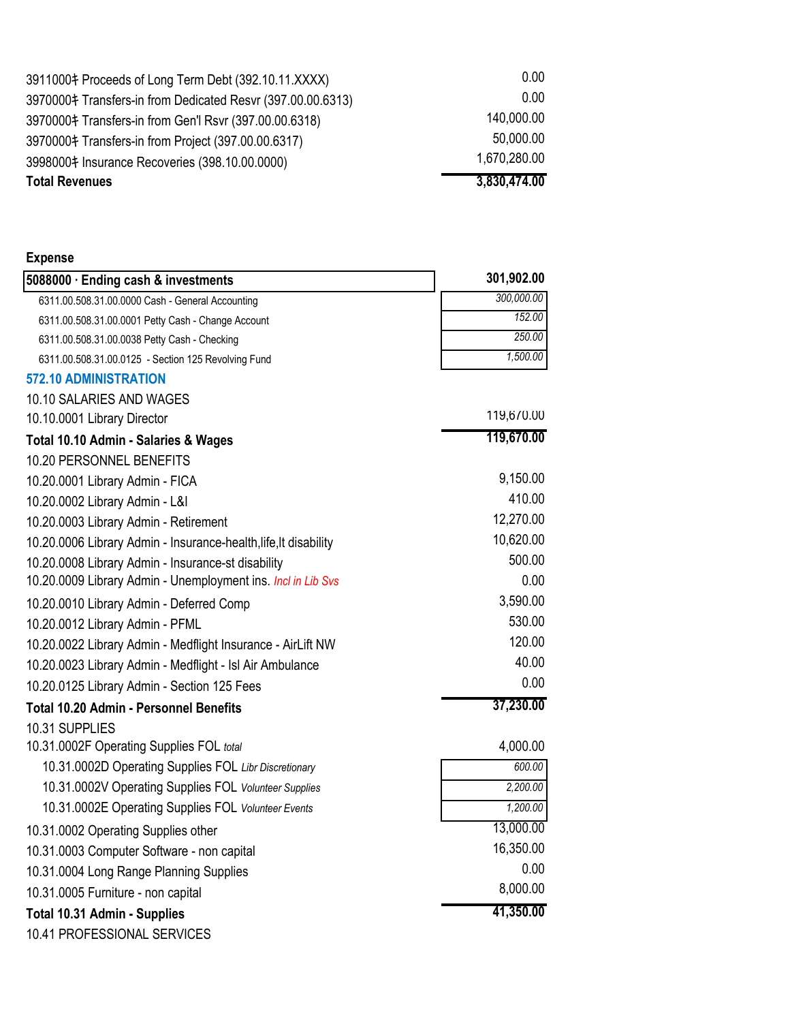| <b>Total Revenues</b>                                       | 3,830,474.00      |
|-------------------------------------------------------------|-------------------|
| 3998000‡ Insurance Recoveries (398.10.00.0000)              | 1,670,280.00      |
| 3970000‡ Transfers-in from Project (397.00.00.6317)         | 50,000.00         |
| 3970000‡ Transfers-in from Gen'l Rsvr (397.00.00.6318)      | 140,000.00        |
| 3970000‡ Transfers-in from Dedicated Resvr (397.00.00.6313) | 0.00 <sub>1</sub> |
| 3911000‡ Proceeds of Long Term Debt (392.10.11.XXXX)        | 0.00              |

| Expense |
|---------|
|---------|

| 5088000 · Ending cash & investments                              | 301,902.00 |
|------------------------------------------------------------------|------------|
| 6311.00.508.31.00.0000 Cash - General Accounting                 | 300,000.00 |
| 6311.00.508.31.00.0001 Petty Cash - Change Account               | 152.00     |
| 6311.00.508.31.00.0038 Petty Cash - Checking                     | 250.00     |
| 6311.00.508.31.00.0125 - Section 125 Revolving Fund              | 1,500.00   |
| <b>572.10 ADMINISTRATION</b>                                     |            |
| 10.10 SALARIES AND WAGES                                         |            |
| 10.10.0001 Library Director                                      | 119,670.00 |
| Total 10.10 Admin - Salaries & Wages                             | 119,670.00 |
| 10.20 PERSONNEL BENEFITS                                         |            |
| 10.20.0001 Library Admin - FICA                                  | 9,150.00   |
| 10.20.0002 Library Admin - L&I                                   | 410.00     |
| 10.20.0003 Library Admin - Retirement                            | 12,270.00  |
| 10.20.0006 Library Admin - Insurance-health, life, It disability | 10,620.00  |
| 10.20.0008 Library Admin - Insurance-st disability               | 500.00     |
| 10.20.0009 Library Admin - Unemployment ins. Incl in Lib Svs     | 0.00       |
| 10.20.0010 Library Admin - Deferred Comp                         | 3,590.00   |
| 10.20.0012 Library Admin - PFML                                  | 530.00     |
| 10.20.0022 Library Admin - Medflight Insurance - AirLift NW      | 120.00     |
| 10.20.0023 Library Admin - Medflight - Isl Air Ambulance         | 40.00      |
| 10.20.0125 Library Admin - Section 125 Fees                      | 0.00       |
| <b>Total 10.20 Admin - Personnel Benefits</b>                    | 37,230.00  |
| 10.31 SUPPLIES                                                   |            |
| 10.31.0002F Operating Supplies FOL total                         | 4,000.00   |
| 10.31.0002D Operating Supplies FOL Libr Discretionary            | 600.00     |
| 10.31.0002V Operating Supplies FOL Volunteer Supplies            | 2,200.00   |
| 10.31.0002E Operating Supplies FOL Volunteer Events              | 1,200.00   |
| 10.31.0002 Operating Supplies other                              | 13,000.00  |
| 10.31.0003 Computer Software - non capital                       | 16,350.00  |
| 10.31.0004 Long Range Planning Supplies                          | 0.00       |
| 10.31.0005 Furniture - non capital                               | 8,000.00   |
| <b>Total 10.31 Admin - Supplies</b>                              | 41,350.00  |
| 10.41 PROFESSIONAL SERVICES                                      |            |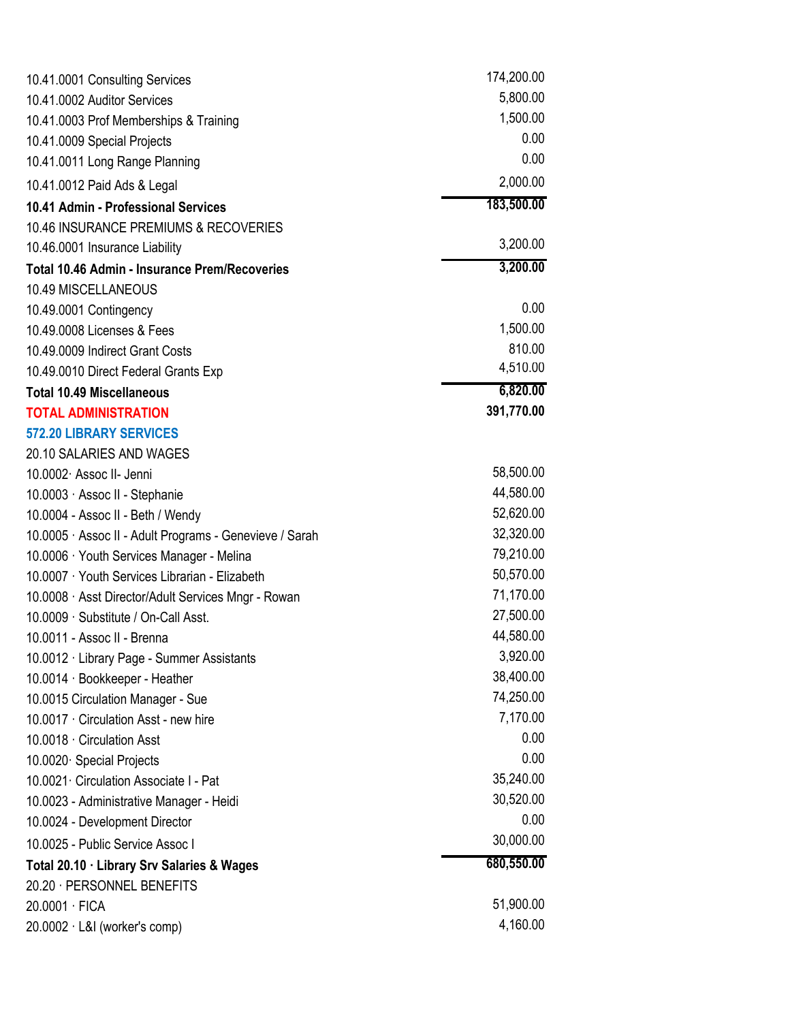| 10.41.0001 Consulting Services                          | 174,200.00 |  |
|---------------------------------------------------------|------------|--|
| 10.41.0002 Auditor Services                             | 5,800.00   |  |
| 10.41.0003 Prof Memberships & Training                  | 1,500.00   |  |
| 10.41.0009 Special Projects                             | 0.00       |  |
| 10.41.0011 Long Range Planning                          | 0.00       |  |
| 10.41.0012 Paid Ads & Legal                             | 2,000.00   |  |
| 10.41 Admin - Professional Services                     | 183,500.00 |  |
| 10.46 INSURANCE PREMIUMS & RECOVERIES                   |            |  |
| 10.46.0001 Insurance Liability                          | 3,200.00   |  |
| <b>Total 10.46 Admin - Insurance Prem/Recoveries</b>    | 3,200.00   |  |
| 10.49 MISCELLANEOUS                                     |            |  |
| 10.49.0001 Contingency                                  | 0.00       |  |
| 10.49.0008 Licenses & Fees                              | 1,500.00   |  |
| 10.49.0009 Indirect Grant Costs                         | 810.00     |  |
| 10.49.0010 Direct Federal Grants Exp                    | 4,510.00   |  |
| <b>Total 10.49 Miscellaneous</b>                        | 6,820.00   |  |
| <b>TOTAL ADMINISTRATION</b>                             | 391,770.00 |  |
| <b>572.20 LIBRARY SERVICES</b>                          |            |  |
| 20.10 SALARIES AND WAGES                                |            |  |
| 10.0002 Assoc II- Jenni                                 | 58,500.00  |  |
| 10.0003 · Assoc II - Stephanie                          | 44,580.00  |  |
| 10.0004 - Assoc II - Beth / Wendy                       | 52,620.00  |  |
| 10.0005 · Assoc II - Adult Programs - Genevieve / Sarah | 32,320.00  |  |
| 10.0006 · Youth Services Manager - Melina               | 79,210.00  |  |
| 10.0007 · Youth Services Librarian - Elizabeth          | 50,570.00  |  |
| 10.0008 · Asst Director/Adult Services Mngr - Rowan     | 71,170.00  |  |
| 10.0009 · Substitute / On-Call Asst.                    | 27,500.00  |  |
| 10.0011 - Assoc II - Brenna                             | 44,580.00  |  |
| 10.0012 · Library Page - Summer Assistants              | 3,920.00   |  |
| 10.0014 · Bookkeeper - Heather                          | 38,400.00  |  |
| 10.0015 Circulation Manager - Sue                       | 74,250.00  |  |
| 10.0017 · Circulation Asst - new hire                   | 7,170.00   |  |
| 10.0018 · Circulation Asst                              | 0.00       |  |
| 10.0020 Special Projects                                | 0.00       |  |
| 10.0021 Circulation Associate I - Pat                   | 35,240.00  |  |
| 10.0023 - Administrative Manager - Heidi                | 30,520.00  |  |
| 10.0024 - Development Director                          | 0.00       |  |
| 10.0025 - Public Service Assoc I                        | 30,000.00  |  |
| Total 20.10 · Library Srv Salaries & Wages              | 680,550.00 |  |
| 20.20 · PERSONNEL BENEFITS                              |            |  |
| 20.0001 · FICA                                          | 51,900.00  |  |
| $20.0002 \cdot L&l$ (worker's comp)                     | 4,160.00   |  |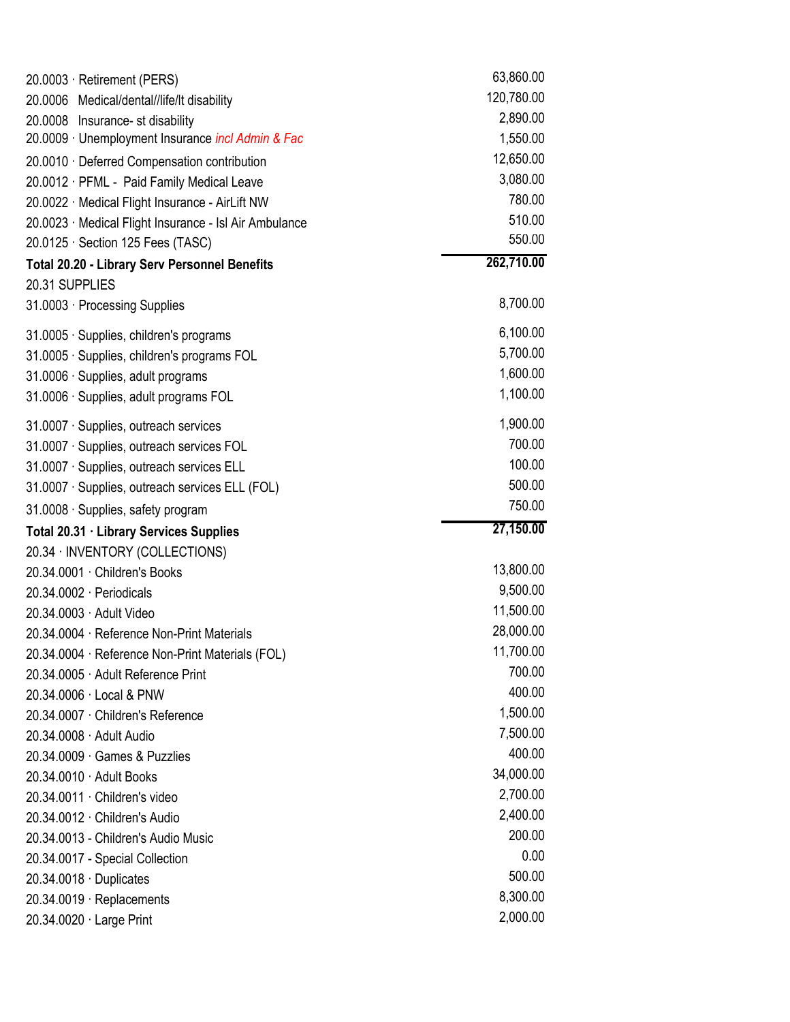| 20.0003 · Retirement (PERS)                            | 63,860.00  |
|--------------------------------------------------------|------------|
| 20.0006 Medical/dental//life/lt disability             | 120,780.00 |
| 20.0008 Insurance- st disability                       | 2,890.00   |
| 20.0009 · Unemployment Insurance incl Admin & Fac      | 1,550.00   |
| 20.0010 · Deferred Compensation contribution           | 12,650.00  |
| 20.0012 · PFML - Paid Family Medical Leave             | 3,080.00   |
| 20.0022 · Medical Flight Insurance - AirLift NW        | 780.00     |
| 20.0023 · Medical Flight Insurance - Isl Air Ambulance | 510.00     |
| $20.0125 \cdot$ Section 125 Fees (TASC)                | 550.00     |
| <b>Total 20.20 - Library Serv Personnel Benefits</b>   | 262,710.00 |
| 20.31 SUPPLIES                                         |            |
| 31.0003 · Processing Supplies                          | 8,700.00   |
| 31.0005 · Supplies, children's programs                | 6,100.00   |
| 31.0005 · Supplies, children's programs FOL            | 5,700.00   |
| 31.0006 · Supplies, adult programs                     | 1,600.00   |
| 31.0006 · Supplies, adult programs FOL                 | 1,100.00   |
| 31.0007 · Supplies, outreach services                  | 1,900.00   |
| 31.0007 · Supplies, outreach services FOL              | 700.00     |
| 31.0007 · Supplies, outreach services ELL              | 100.00     |
| 31.0007 · Supplies, outreach services ELL (FOL)        | 500.00     |
| 31.0008 · Supplies, safety program                     | 750.00     |
| Total 20.31 · Library Services Supplies                | 27,150.00  |
| 20.34 · INVENTORY (COLLECTIONS)                        |            |
| 20.34.0001 · Children's Books                          | 13,800.00  |
| 20.34.0002 Periodicals                                 | 9,500.00   |
| 20.34.0003 Adult Video                                 | 11,500.00  |
| 20.34.0004 · Reference Non-Print Materials             | 28,000.00  |
| 20.34.0004 · Reference Non-Print Materials (FOL)       | 11,700.00  |
| 20.34.0005 Adult Reference Print                       | 700.00     |
| 20.34.0006 · Local & PNW                               | 400.00     |
| 20.34.0007 · Children's Reference                      | 1,500.00   |
| 20.34.0008 · Adult Audio                               | 7,500.00   |
| 20.34.0009 Games & Puzzlies                            | 400.00     |
| 20.34.0010 · Adult Books                               | 34,000.00  |
| 20.34.0011 Children's video                            | 2,700.00   |
| 20.34.0012 Children's Audio                            | 2,400.00   |
| 20.34.0013 - Children's Audio Music                    | 200.00     |
| 20.34.0017 - Special Collection                        | 0.00       |
| 20.34.0018 · Duplicates                                | 500.00     |
| 20.34.0019 · Replacements                              | 8,300.00   |
| 20.34.0020 Large Print                                 | 2,000.00   |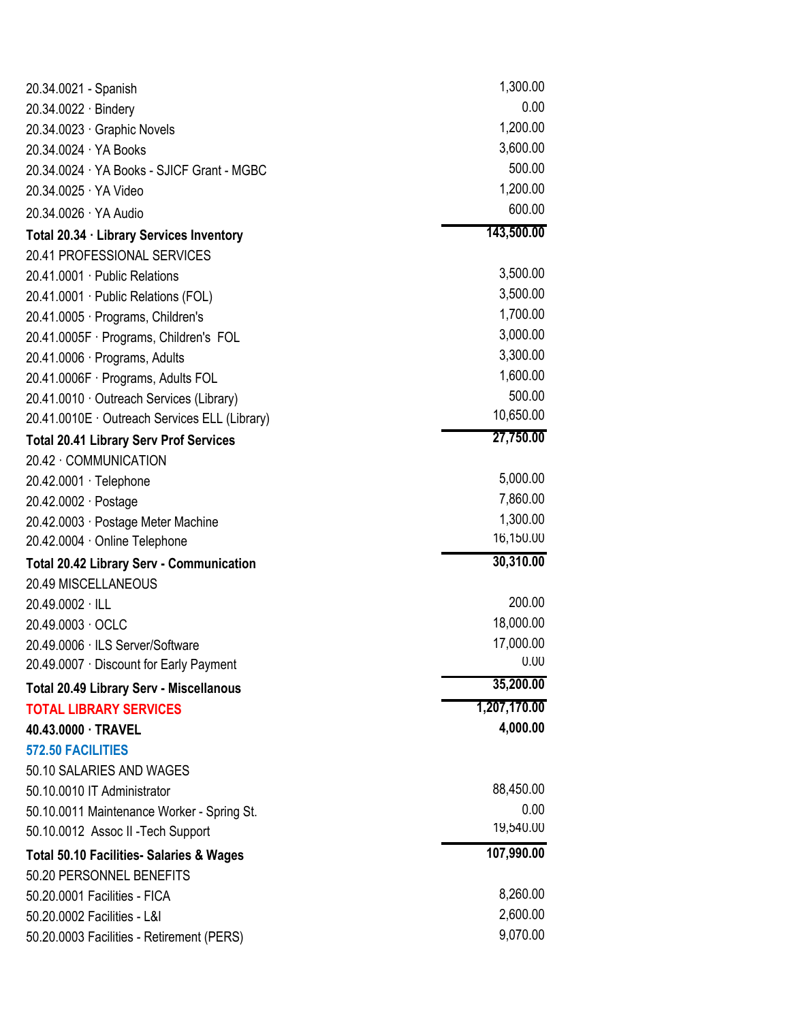| 20.34.0021 - Spanish                                | 1,300.00     |
|-----------------------------------------------------|--------------|
| 20.34.0022 · Bindery                                | 0.00         |
| 20.34.0023 · Graphic Novels                         | 1,200.00     |
| 20.34.0024 · YA Books                               | 3,600.00     |
| 20.34.0024 · YA Books - SJICF Grant - MGBC          | 500.00       |
| 20.34.0025 YA Video                                 | 1,200.00     |
| 20.34.0026 YA Audio                                 | 600.00       |
| Total 20.34 · Library Services Inventory            | 143,500.00   |
| 20.41 PROFESSIONAL SERVICES                         |              |
| 20.41.0001 · Public Relations                       | 3,500.00     |
| 20.41.0001 · Public Relations (FOL)                 | 3,500.00     |
| 20.41.0005 · Programs, Children's                   | 1,700.00     |
| 20.41.0005F · Programs, Children's FOL              | 3,000.00     |
| 20.41.0006 · Programs, Adults                       | 3,300.00     |
| 20.41.0006F · Programs, Adults FOL                  | 1,600.00     |
| 20.41.0010 · Outreach Services (Library)            | 500.00       |
| 20.41.0010E · Outreach Services ELL (Library)       | 10,650.00    |
| <b>Total 20.41 Library Serv Prof Services</b>       | 27,750.00    |
| 20.42 COMMUNICATION                                 |              |
| 20.42.0001 · Telephone                              | 5,000.00     |
| 20.42.0002 · Postage                                | 7,860.00     |
| 20.42.0003 · Postage Meter Machine                  | 1,300.00     |
| 20.42.0004 Online Telephone                         | 16,150.00    |
| <b>Total 20.42 Library Serv - Communication</b>     | 30,310.00    |
| 20.49 MISCELLANEOUS                                 |              |
| 20.49.0002 · ILL                                    | 200.00       |
| 20.49.0003 OCLC                                     | 18,000.00    |
| 20.49.0006 · ILS Server/Software                    | 17,000.00    |
| 20.49.0007 · Discount for Early Payment             | 0.00         |
| <b>Total 20.49 Library Serv - Miscellanous</b>      | 35,200.00    |
| <b>TOTAL LIBRARY SERVICES</b>                       | 1,207,170.00 |
| 40.43.0000 · TRAVEL                                 | 4,000.00     |
| 572.50 FACILITIES                                   |              |
| 50.10 SALARIES AND WAGES                            |              |
| 50.10.0010 IT Administrator                         | 88,450.00    |
| 50.10.0011 Maintenance Worker - Spring St.          | 0.00         |
| 50.10.0012 Assoc II - Tech Support                  | 19,540.00    |
| <b>Total 50.10 Facilities- Salaries &amp; Wages</b> | 107,990.00   |
| 50.20 PERSONNEL BENEFITS                            |              |
| 50.20.0001 Facilities - FICA                        | 8,260.00     |
| 50.20.0002 Facilities - L&I                         | 2,600.00     |
| 50.20.0003 Facilities - Retirement (PERS)           | 9,070.00     |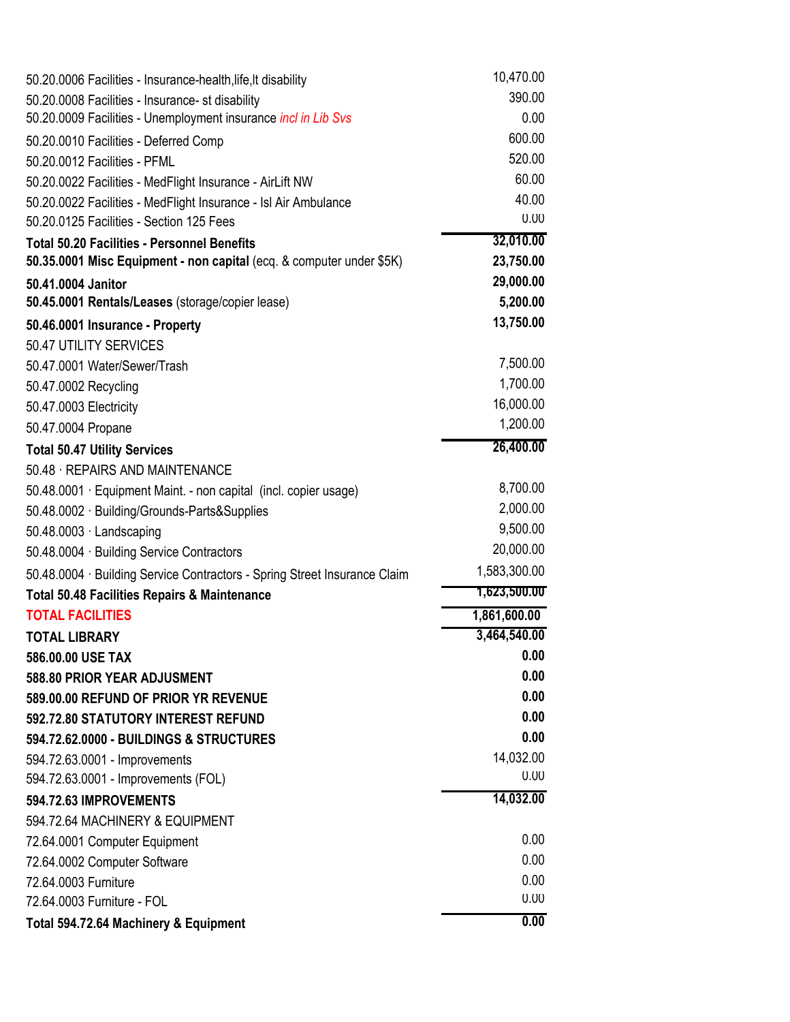| 50.20.0006 Facilities - Insurance-health, life, It disability             | 10,470.00    |
|---------------------------------------------------------------------------|--------------|
| 50.20.0008 Facilities - Insurance- st disability                          | 390.00       |
| 50.20.0009 Facilities - Unemployment insurance <i>incl in Lib Svs</i>     | 0.00         |
| 50.20.0010 Facilities - Deferred Comp                                     | 600.00       |
| 50.20.0012 Facilities - PFML                                              | 520.00       |
| 50.20.0022 Facilities - MedFlight Insurance - AirLift NW                  | 60.00        |
| 50.20.0022 Facilities - MedFlight Insurance - Isl Air Ambulance           | 40.00        |
| 50.20.0125 Facilities - Section 125 Fees                                  | 0.00         |
| <b>Total 50.20 Facilities - Personnel Benefits</b>                        | 32,010.00    |
| 50.35.0001 Misc Equipment - non capital (ecq. & computer under \$5K)      | 23,750.00    |
| 50.41.0004 Janitor                                                        | 29,000.00    |
| 50.45.0001 Rentals/Leases (storage/copier lease)                          | 5,200.00     |
| 50.46.0001 Insurance - Property                                           | 13,750.00    |
| 50.47 UTILITY SERVICES                                                    |              |
| 50.47.0001 Water/Sewer/Trash                                              | 7,500.00     |
| 50.47.0002 Recycling                                                      | 1,700.00     |
| 50.47.0003 Electricity                                                    | 16,000.00    |
| 50.47.0004 Propane                                                        | 1,200.00     |
| <b>Total 50.47 Utility Services</b>                                       | 26,400.00    |
| 50.48 · REPAIRS AND MAINTENANCE                                           |              |
| 50.48.0001 · Equipment Maint. - non capital (incl. copier usage)          | 8,700.00     |
| 50.48.0002 · Building/Grounds-Parts&Supplies                              | 2,000.00     |
| 50.48.0003 Landscaping                                                    | 9,500.00     |
| 50.48.0004 · Building Service Contractors                                 | 20,000.00    |
| 50.48.0004 · Building Service Contractors - Spring Street Insurance Claim | 1,583,300.00 |
| <b>Total 50.48 Facilities Repairs &amp; Maintenance</b>                   | 1,623,500.00 |
| <b>TOTAL FACILITIES</b>                                                   | 1,861,600.00 |
| <b>TOTAL LIBRARY</b>                                                      | 3,464,540.00 |
| 586,00,00 USE TAX                                                         | 0.00         |
| 588.80 PRIOR YEAR ADJUSMENT                                               | 0.00         |
| 589.00.00 REFUND OF PRIOR YR REVENUE                                      | 0.00         |
| 592.72.80 STATUTORY INTEREST REFUND                                       | 0.00         |
| 594.72.62.0000 - BUILDINGS & STRUCTURES                                   | 0.00         |
| 594.72.63.0001 - Improvements                                             | 14,032.00    |
| 594.72.63.0001 - Improvements (FOL)                                       | 0.00         |
| 594.72.63 IMPROVEMENTS                                                    | 14,032.00    |
| 594.72.64 MACHINERY & EQUIPMENT                                           |              |
| 72.64.0001 Computer Equipment                                             | 0.00         |
| 72.64.0002 Computer Software                                              | 0.00         |
| 72.64.0003 Furniture                                                      | 0.00         |
| 72.64.0003 Furniture - FOL                                                | 0.00         |
| Total 594.72.64 Machinery & Equipment                                     | 0.00         |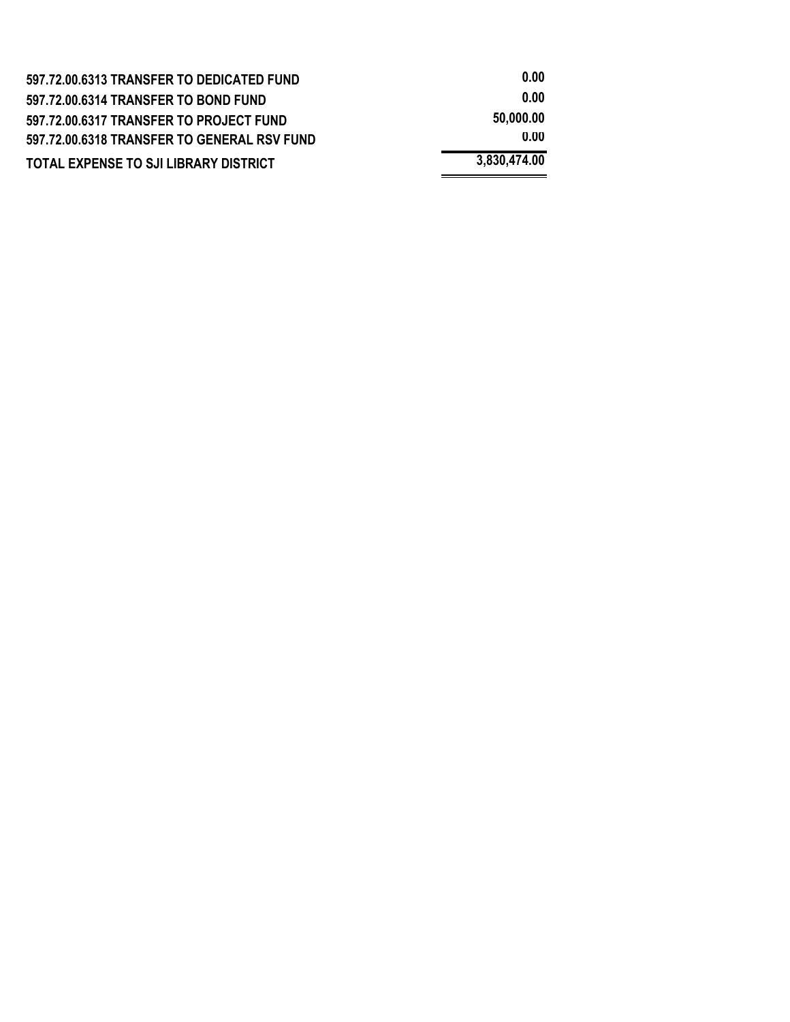| 597.72.00.6313 TRANSFER TO DEDICATED FUND    | 0.00         |
|----------------------------------------------|--------------|
| 597.72.00.6314 TRANSFER TO BOND FUND         | 0.00         |
| 597.72.00.6317 TRANSFER TO PROJECT FUND      | 50.000.00    |
| 597.72.00.6318 TRANSFER TO GENERAL RSV FUND  | 0.00         |
| <b>TOTAL EXPENSE TO SJI LIBRARY DISTRICT</b> | 3,830,474.00 |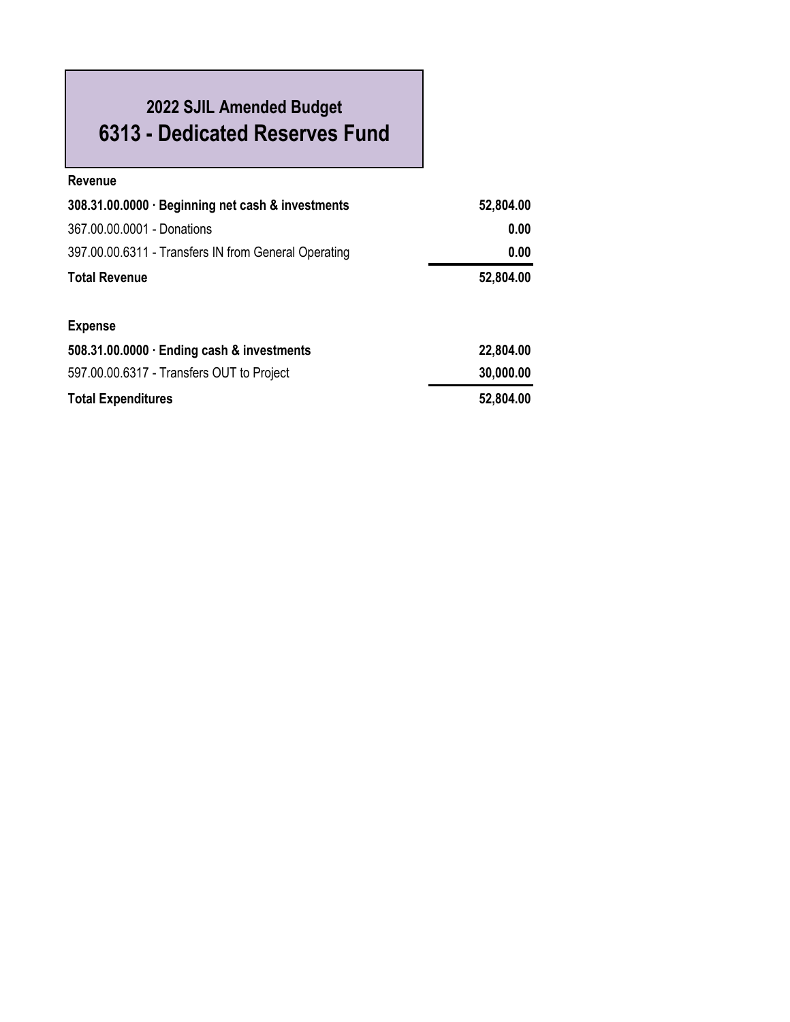# **2022 SJIL Amended Budget 6313 - Dedicated Reserves Fund**

| <b>Revenue</b>                                       |           |
|------------------------------------------------------|-----------|
| 308.31.00.0000 · Beginning net cash & investments    | 52,804.00 |
| 367.00.00.0001 - Donations                           | 0.00      |
| 397.00.00.6311 - Transfers IN from General Operating | 0.00      |
| <b>Total Revenue</b>                                 | 52,804.00 |
|                                                      |           |
| <b>Expense</b>                                       |           |
| 508.31.00.0000 · Ending cash & investments           | 22,804.00 |
| 597.00.00.6317 - Transfers OUT to Project            | 30,000.00 |
| <b>Total Expenditures</b>                            | 52,804.00 |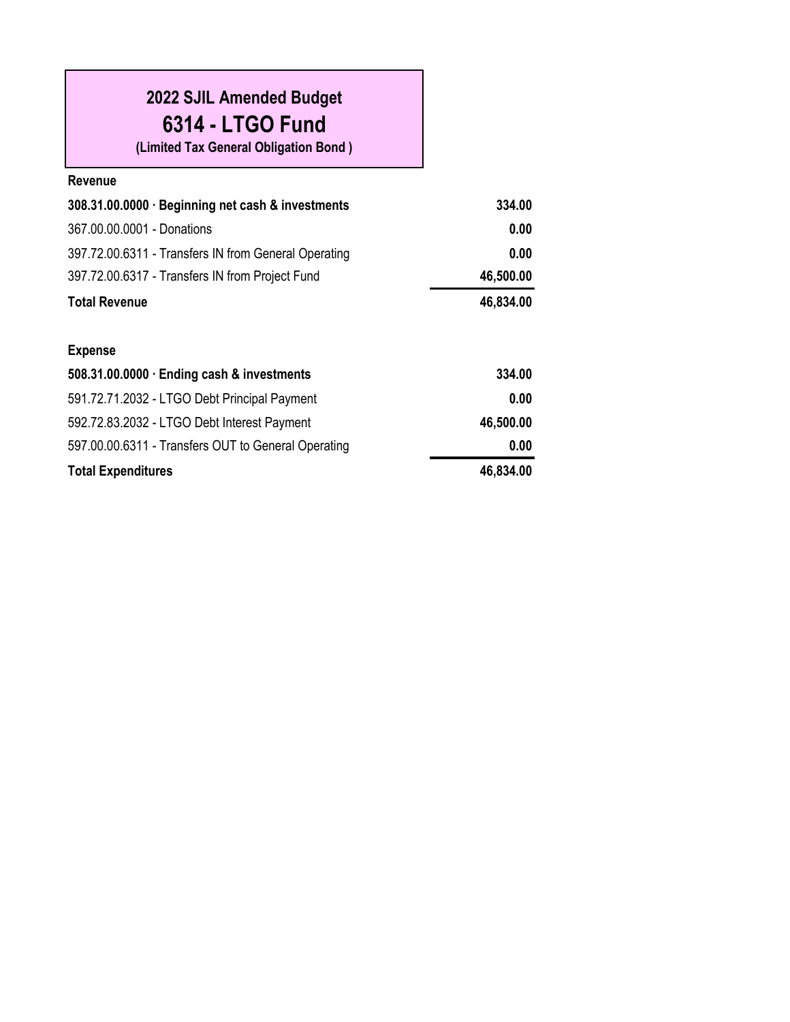| 2022 SJIL Amended Budget<br>6314 - LTGO Fund<br>(Limited Tax General Obligation Bond) |           |
|---------------------------------------------------------------------------------------|-----------|
| Revenue                                                                               |           |
| 308.31.00.0000 · Beginning net cash & investments                                     | 334.00    |
| 367.00.00.0001 - Donations                                                            | 0.00      |
| 397.72.00.6311 - Transfers IN from General Operating                                  | 0.00      |
| 397.72.00.6317 - Transfers IN from Project Fund                                       | 46,500.00 |
| <b>Total Revenue</b>                                                                  | 46,834.00 |
| <b>Expense</b>                                                                        |           |
| 508.31.00.0000 · Ending cash & investments                                            | 334.00    |
| 591.72.71.2032 - LTGO Debt Principal Payment                                          | 0.00      |
|                                                                                       |           |
| 592.72.83.2032 - LTGO Debt Interest Payment                                           | 46,500.00 |
| 597.00.00.6311 - Transfers OUT to General Operating                                   | 0.00      |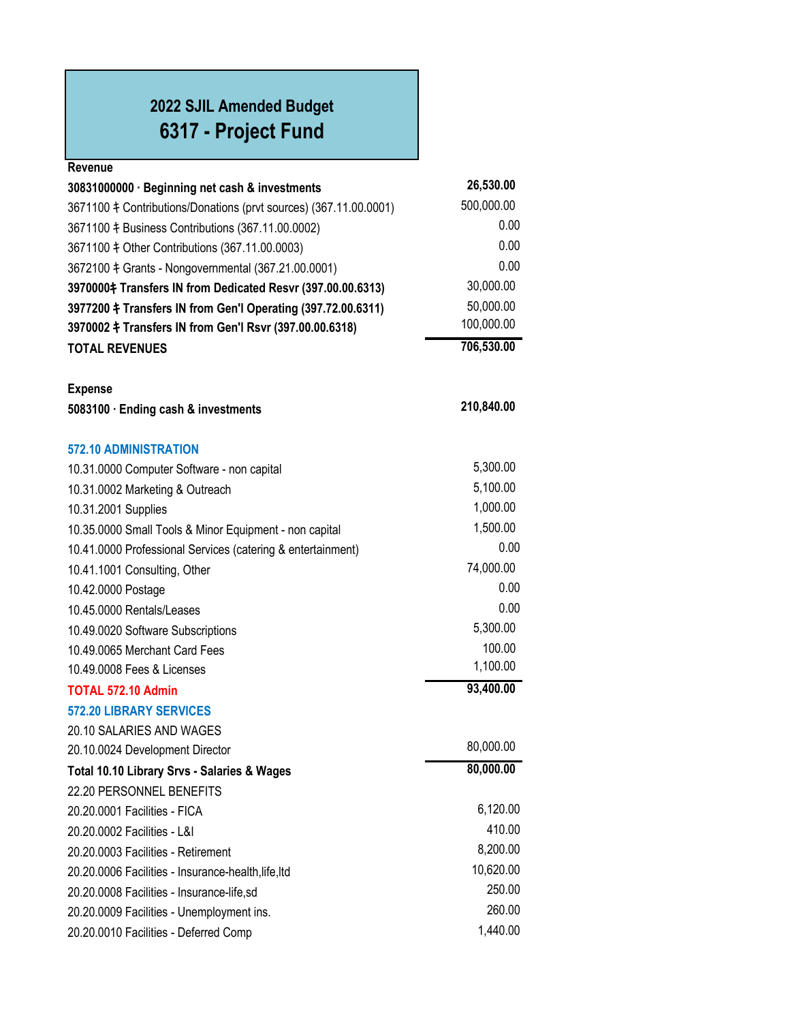## **2022 SJIL Amended Budget 6317 - Project Fund**

| Revenue                                                            |            |
|--------------------------------------------------------------------|------------|
| 30831000000 · Beginning net cash & investments                     | 26,530.00  |
| 3671100 \, Contributions/Donations (prvt sources) (367.11.00.0001) | 500,000.00 |
| 3671100 ‡ Business Contributions (367.11.00.0002)                  | 0.00       |
| 3671100 $\ddagger$ Other Contributions (367.11.00.0003)            | 0.00       |
| 3672100 \ + Grants - Nongovernmental (367.21.00.0001)              | 0.00       |
| 3970000‡ Transfers IN from Dedicated Resvr (397.00.00.6313)        | 30,000.00  |
| 3977200 ‡ Transfers IN from Gen'l Operating (397.72.00.6311)       | 50,000.00  |
| 3970002 ‡ Transfers IN from Gen'l Rsvr (397.00.00.6318)            | 100,000.00 |
| <b>TOTAL REVENUES</b>                                              | 706,530.00 |
| <b>Expense</b>                                                     |            |
| 5083100 · Ending cash & investments                                | 210,840.00 |
| <b>572.10 ADMINISTRATION</b>                                       |            |
| 10.31.0000 Computer Software - non capital                         | 5,300.00   |
| 10.31.0002 Marketing & Outreach                                    | 5,100.00   |
| 10.31.2001 Supplies                                                | 1,000.00   |
| 10.35.0000 Small Tools & Minor Equipment - non capital             | 1,500.00   |
| 10.41.0000 Professional Services (catering & entertainment)        | 0.00       |
| 10.41.1001 Consulting, Other                                       | 74,000.00  |
| 10.42.0000 Postage                                                 | 0.00       |
| 10.45.0000 Rentals/Leases                                          | 0.00       |
| 10.49.0020 Software Subscriptions                                  | 5,300.00   |
| 10.49.0065 Merchant Card Fees                                      | 100.00     |
| 10.49.0008 Fees & Licenses                                         | 1,100.00   |
| <b>TOTAL 572.10 Admin</b>                                          | 93,400.00  |
| <b>572.20 LIBRARY SERVICES</b>                                     |            |
| 20.10 SALARIES AND WAGES                                           |            |
| 20.10.0024 Development Director                                    | 80,000.00  |
| Total 10.10 Library Srvs - Salaries & Wages                        | 80,000.00  |
| 22.20 PERSONNEL BENEFITS                                           |            |
| 20.20.0001 Facilities - FICA                                       | 6,120.00   |
| 20.20.0002 Facilities - L&I                                        | 410.00     |
| 20.20.0003 Facilities - Retirement                                 | 8,200.00   |
| 20.20.0006 Facilities - Insurance-health, life, Itd                | 10,620.00  |
| 20.20.0008 Facilities - Insurance-life,sd                          | 250.00     |
| 20.20.0009 Facilities - Unemployment ins.                          | 260.00     |
| 20.20.0010 Facilities - Deferred Comp                              | 1,440.00   |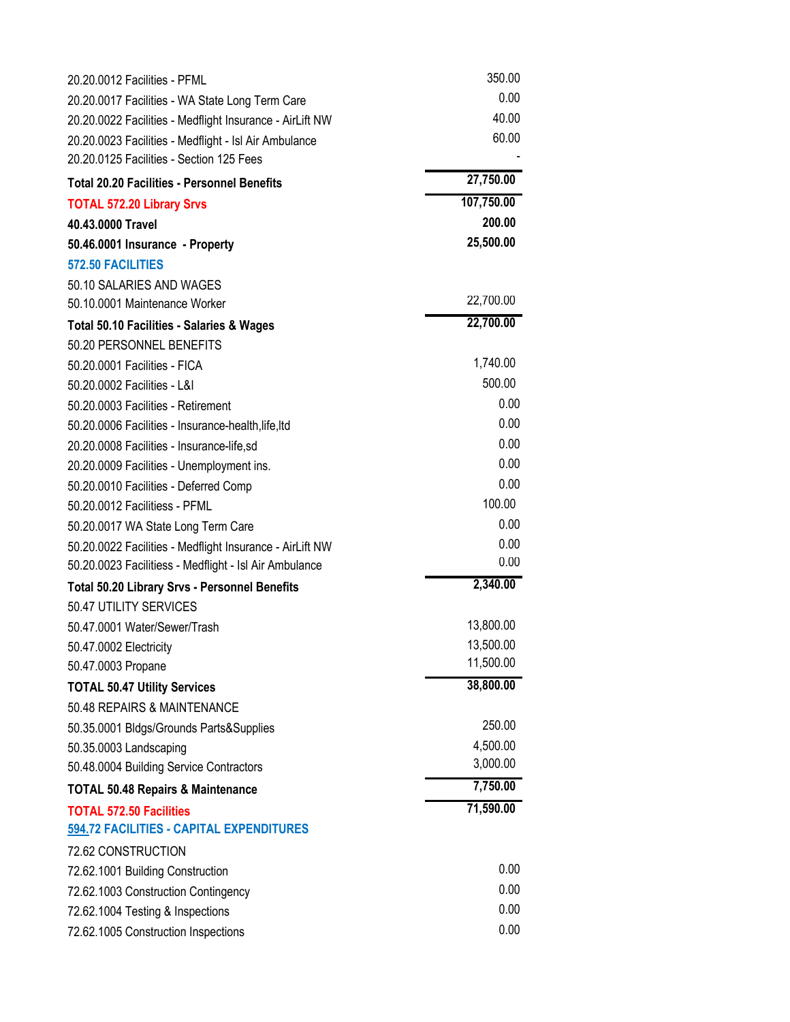| 20.20.0012 Facilities - PFML                             | 350.00               |
|----------------------------------------------------------|----------------------|
| 20.20.0017 Facilities - WA State Long Term Care          | 0.00                 |
| 20.20.0022 Facilities - Medflight Insurance - AirLift NW | 40.00                |
| 20.20.0023 Facilities - Medflight - Isl Air Ambulance    | 60.00                |
| 20.20.0125 Facilities - Section 125 Fees                 |                      |
| <b>Total 20.20 Facilities - Personnel Benefits</b>       | 27,750.00            |
| <b>TOTAL 572.20 Library Srvs</b>                         | 107,750.00           |
| 40.43.0000 Travel                                        | 200.00               |
| 50.46.0001 Insurance - Property                          | 25,500.00            |
| 572.50 FACILITIES                                        |                      |
| 50.10 SALARIES AND WAGES                                 |                      |
| 50.10.0001 Maintenance Worker                            | 22,700.00            |
| <b>Total 50.10 Facilities - Salaries &amp; Wages</b>     | 22,700.00            |
| 50.20 PERSONNEL BENEFITS                                 |                      |
| 50.20.0001 Facilities - FICA                             | 1,740.00             |
| 50.20.0002 Facilities - L&I                              | 500.00               |
| 50.20.0003 Facilities - Retirement                       | 0.00                 |
| 50.20.0006 Facilities - Insurance-health, life, Itd      | 0.00                 |
| 20.20.0008 Facilities - Insurance-life,sd                | 0.00                 |
| 20.20.0009 Facilities - Unemployment ins.                | 0.00                 |
| 50.20.0010 Facilities - Deferred Comp                    | 0.00                 |
| 50.20.0012 Facilitiess - PFML                            | 100.00               |
| 50.20.0017 WA State Long Term Care                       | 0.00                 |
| 50.20.0022 Facilities - Medflight Insurance - AirLift NW | 0.00                 |
| 50.20.0023 Facilitiess - Medflight - Isl Air Ambulance   | 0.00                 |
| <b>Total 50.20 Library Srvs - Personnel Benefits</b>     | 2,340.00             |
| 50.47 UTILITY SERVICES                                   |                      |
| 50.47.0001 Water/Sewer/Trash                             | 13,800.00            |
| 50.47.0002 Electricity                                   | 13,500.00            |
| 50.47.0003 Propane                                       | 11,500.00            |
| <b>TOTAL 50.47 Utility Services</b>                      | 38,800.00            |
| 50.48 REPAIRS & MAINTENANCE                              |                      |
| 50.35.0001 Bldgs/Grounds Parts&Supplies                  | 250.00               |
| 50.35.0003 Landscaping                                   | 4,500.00<br>3,000.00 |
| 50.48.0004 Building Service Contractors                  |                      |
| <b>TOTAL 50.48 Repairs &amp; Maintenance</b>             | 7,750.00             |
| <b>TOTAL 572.50 Facilities</b>                           | 71,590.00            |
| 594.72 FACILITIES - CAPITAL EXPENDITURES                 |                      |
| 72.62 CONSTRUCTION                                       |                      |
| 72.62.1001 Building Construction                         | 0.00                 |
| 72.62.1003 Construction Contingency                      | 0.00                 |
| 72.62.1004 Testing & Inspections                         | 0.00                 |
| 72.62.1005 Construction Inspections                      | 0.00                 |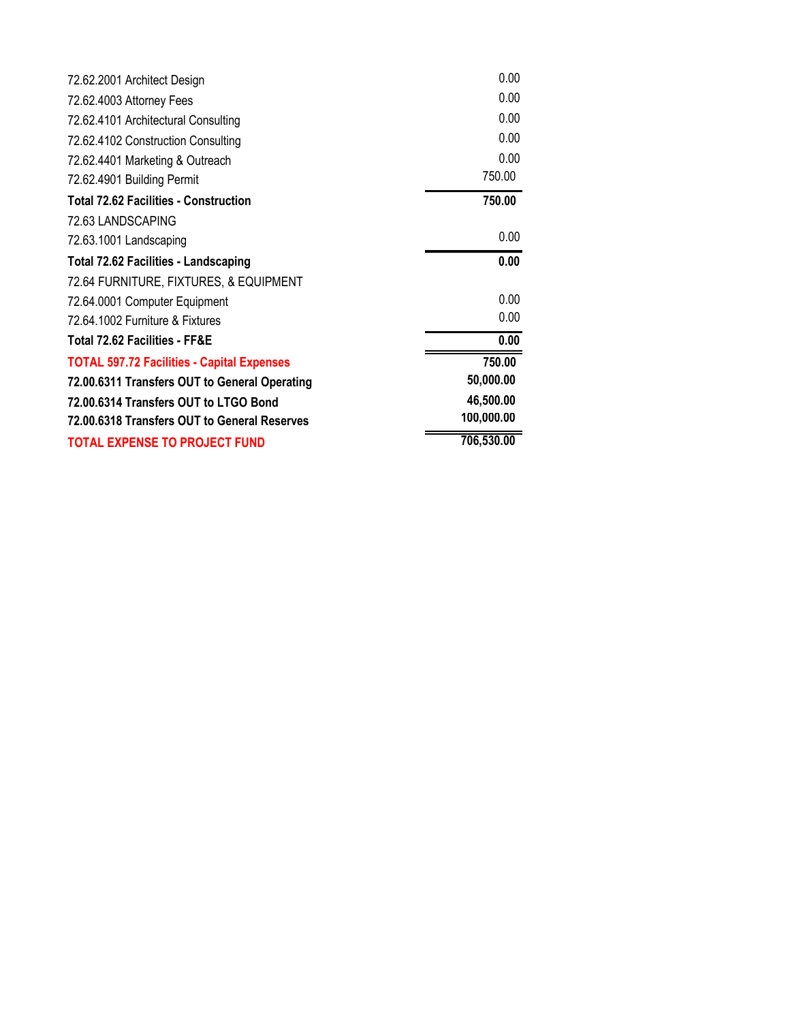| <b>TOTAL EXPENSE TO PROJECT FUND</b>              | 706,530.00 |
|---------------------------------------------------|------------|
| 72.00.6318 Transfers OUT to General Reserves      | 100,000.00 |
| 72.00.6314 Transfers OUT to LTGO Bond             | 46,500.00  |
| 72.00.6311 Transfers OUT to General Operating     | 50,000.00  |
| <b>TOTAL 597.72 Facilities - Capital Expenses</b> | 750.00     |
| <b>Total 72.62 Facilities - FF&amp;E</b>          | 0.00       |
| 72.64.1002 Furniture & Fixtures                   | 0.00       |
| 72.64.0001 Computer Equipment                     | 0.00       |
| 72.64 FURNITURE, FIXTURES, & EQUIPMENT            |            |
| <b>Total 72.62 Facilities - Landscaping</b>       | 0.00       |
| 72.63.1001 Landscaping                            | 0.00       |
| 72.63 LANDSCAPING                                 |            |
| <b>Total 72.62 Facilities - Construction</b>      | 750.00     |
| 72.62.4901 Building Permit                        | 750.00     |
| 72.62.4401 Marketing & Outreach                   | 0.00       |
| 72.62.4102 Construction Consulting                | 0.00       |
| 72.62.4101 Architectural Consulting               | 0.00       |
| 72.62.4003 Attorney Fees                          | 0.00       |
| 72.62.2001 Architect Design                       | 0.00       |